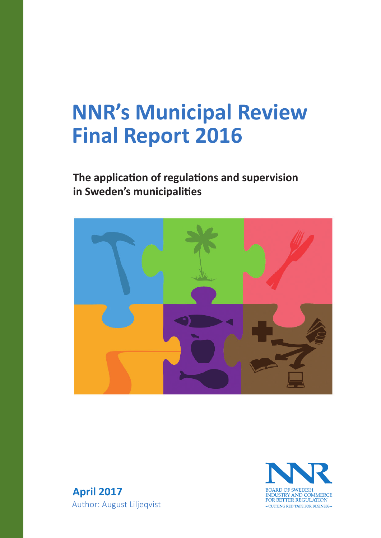# **NNR's Municipal Review Final Report 2016**

# **The application of regulations and supervision in Sweden's municipali�es**





**April 2017** Author: August Liljeqvist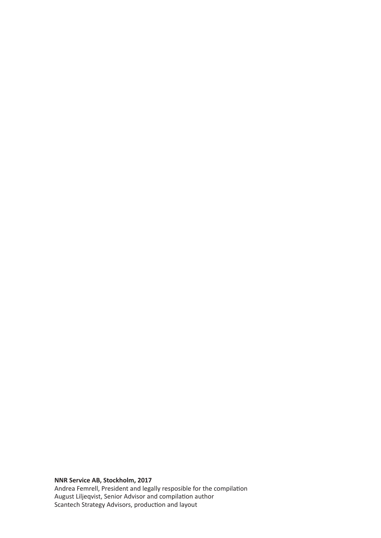**NNR Service AB, Stockholm, 2017** Andrea Femrell, President and legally resposible for the compilation August Liljeqvist, Senior Advisor and compilation author Scantech Strategy Advisors, production and layout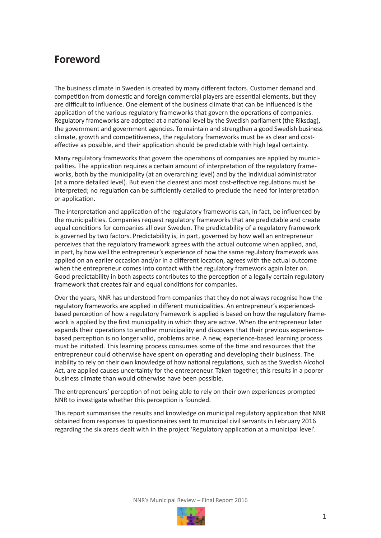# **Foreword**

The business climate in Sweden is created by many different factors. Customer demand and competition from domestic and foreign commercial players are essential elements, but they are difficult to influence. One element of the business climate that can be influenced is the application of the various regulatory frameworks that govern the operations of companies. Regulatory frameworks are adopted at a national level by the Swedish parliament (the Riksdag), the government and government agencies. To maintain and strengthen a good Swedish business climate, growth and competitiveness, the regulatory frameworks must be as clear and costeffective as possible, and their application should be predictable with high legal certainty.

Many regulatory frameworks that govern the operations of companies are applied by municipalities. The application requires a certain amount of interpretation of the regulatory frameworks, both by the municipality (at an overarching level) and by the individual administrator (at a more detailed level). But even the clearest and most cost-effective regulations must be interpreted; no regulation can be sufficiently detailed to preclude the need for interpretation or application.

The interpretation and application of the regulatory frameworks can, in fact, be influenced by the municipalities. Companies request regulatory frameworks that are predictable and create equal conditions for companies all over Sweden. The predictability of a regulatory framework is governed by two factors. Predictability is, in part, governed by how well an entrepreneur perceives that the regulatory framework agrees with the actual outcome when applied, and, in part, by how well the entrepreneur's experience of how the same regulatory framework was applied on an earlier occasion and/or in a different location, agrees with the actual outcome when the entrepreneur comes into contact with the regulatory framework again later on. Good predictability in both aspects contributes to the perception of a legally certain regulatory framework that creates fair and equal conditions for companies.

Over the years, NNR has understood from companies that they do not always recognise how the regulatory frameworks are applied in different municipalities. An entrepreneur's experiencedbased perception of how a regulatory framework is applied is based on how the regulatory framework is applied by the first municipality in which they are active. When the entrepreneur later expands their operations to another municipality and discovers that their previous experiencebased perception is no longer valid, problems arise. A new, experience-based learning process must be initiated. This learning process consumes some of the time and resources that the entrepreneur could otherwise have spent on operating and developing their business. The inability to rely on their own knowledge of how national regulations, such as the Swedish Alcohol Act, are applied causes uncertainty for the entrepreneur. Taken together, this results in a poorer business climate than would otherwise have been possible.

The entrepreneurs' perception of not being able to rely on their own experiences prompted NNR to investigate whether this perception is founded.

This report summarises the results and knowledge on municipal regulatory application that NNR obtained from responses to questionnaires sent to municipal civil servants in February 2016 regarding the six areas dealt with in the project 'Regulatory application at a municipal level'.

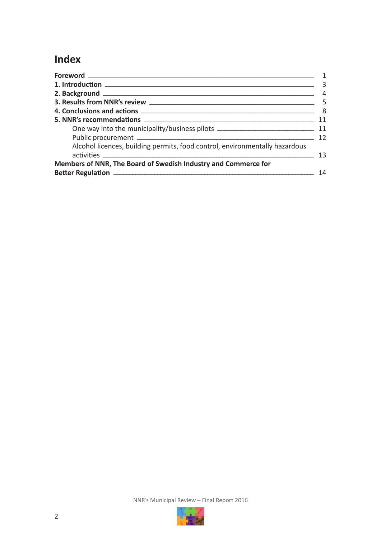# **Index**

| <u> 1980 - Johann Barnett, fransk politik (</u>                             | 3  |
|-----------------------------------------------------------------------------|----|
|                                                                             | 4  |
|                                                                             |    |
|                                                                             |    |
|                                                                             | 11 |
|                                                                             |    |
|                                                                             | 12 |
| Alcohol licences, building permits, food control, environmentally hazardous |    |
|                                                                             | 13 |
| Members of NNR, The Board of Swedish Industry and Commerce for              |    |
|                                                                             | 14 |

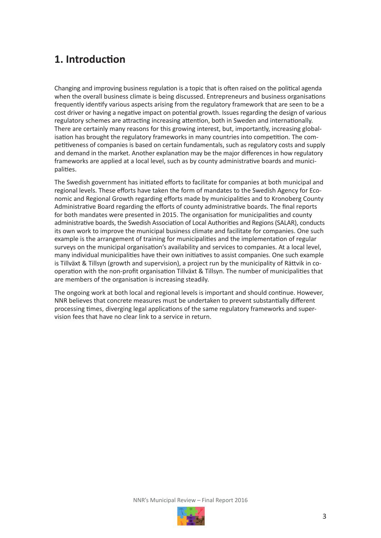# **1. Introduction**

Changing and improving business regulation is a topic that is often raised on the political agenda when the overall business climate is being discussed. Entrepreneurs and business organisations frequently identify various aspects arising from the regulatory framework that are seen to be a cost driver or having a negative impact on potential growth. Issues regarding the design of various regulatory schemes are attracting increasing attention, both in Sweden and internationally. There are certainly many reasons for this growing interest, but, importantly, increasing globalisation has brought the regulatory frameworks in many countries into competition. The competitiveness of companies is based on certain fundamentals, such as regulatory costs and supply and demand in the market. Another explanation may be the major differences in how regulatory frameworks are applied at a local level, such as by county administrative boards and municipalities.

The Swedish government has initiated efforts to facilitate for companies at both municipal and regional levels. These efforts have taken the form of mandates to the Swedish Agency for Economic and Regional Growth regarding efforts made by municipalities and to Kronoberg County Administrative Board regarding the efforts of county administrative boards. The final reports for both mandates were presented in 2015. The organisation for municipalities and county administrative boards, the Swedish Association of Local Authorities and Regions (SALAR), conducts its own work to improve the municipal business climate and facilitate for companies. One such example is the arrangement of training for municipalities and the implementation of regular surveys on the municipal organisation's availability and services to companies. At a local level, many individual municipalities have their own initiatives to assist companies. One such example is Tillväxt & Tillsyn (growth and supervision), a project run by the municipality of Rättvik in cooperation with the non-profit organisation Tillväxt & Tillsyn. The number of municipalities that are members of the organisation is increasing steadily.

The ongoing work at both local and regional levels is important and should continue. However, NNR believes that concrete measures must be undertaken to prevent substantially different processing times, diverging legal applications of the same regulatory frameworks and supervision fees that have no clear link to a service in return.

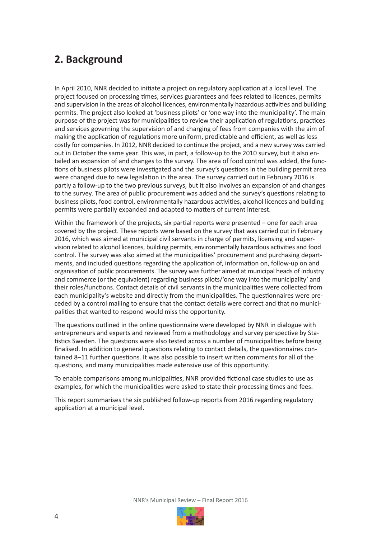# **2. Background**

In April 2010, NNR decided to initiate a project on regulatory application at a local level. The project focused on processing times, services guarantees and fees related to licences, permits and supervision in the areas of alcohol licences, environmentally hazardous activities and building permits. The project also looked at 'business pilots' or 'one way into the municipality'. The main purpose of the project was for municipalities to review their application of regulations, practices and services governing the supervision of and charging of fees from companies with the aim of making the application of regulations more uniform, predictable and efficient, as well as less costly for companies. In 2012, NNR decided to continue the project, and a new survey was carried out in October the same year. This was, in part, a follow-up to the 2010 survey, but it also entailed an expansion of and changes to the survey. The area of food control was added, the functions of business pilots were investigated and the survey's questions in the building permit area were changed due to new legislation in the area. The survey carried out in February 2016 is partly a follow-up to the two previous surveys, but it also involves an expansion of and changes to the survey. The area of public procurement was added and the survey's questions relating to business pilots, food control, environmentally hazardous activities, alcohol licences and building permits were partially expanded and adapted to matters of current interest.

Within the framework of the projects, six partial reports were presented – one for each area covered by the project. These reports were based on the survey that was carried out in February 2016, which was aimed at municipal civil servants in charge of permits, licensing and supervision related to alcohol licences, building permits, environmentally hazardous activities and food control. The survey was also aimed at the municipalities' procurement and purchasing departments, and included questions regarding the application of, information on, follow-up on and organisation of public procurements. The survey was further aimed at municipal heads of industry and commerce (or the equivalent) regarding business pilots/'one way into the municipality' and their roles/functions. Contact details of civil servants in the municipalities were collected from each municipality's website and directly from the municipalities. The questionnaires were preceded by a control mailing to ensure that the contact details were correct and that no municipalities that wanted to respond would miss the opportunity.

The questions outlined in the online questionnaire were developed by NNR in dialogue with entrepreneurs and experts and reviewed from a methodology and survey perspective by Statistics Sweden. The questions were also tested across a number of municipalities before being finalised. In addition to general questions relating to contact details, the questionnaires contained 8–11 further questions. It was also possible to insert written comments for all of the questions, and many municipalities made extensive use of this opportunity.

To enable comparisons among municipalities, NNR provided fictional case studies to use as examples, for which the municipalities were asked to state their processing times and fees.

This report summarises the six published follow-up reports from 2016 regarding regulatory application at a municipal level.

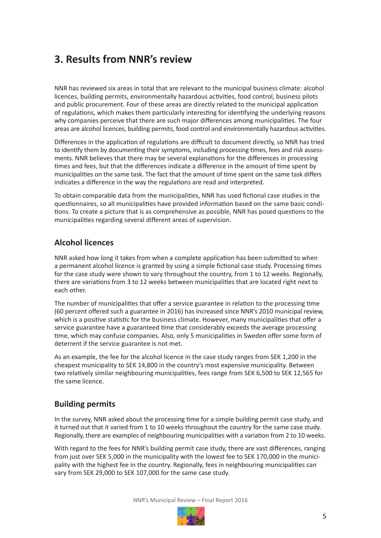# **3. Results from NNR's review**

NNR has reviewed six areas in total that are relevant to the municipal business climate: alcohol licences, building permits, environmentally hazardous activities, food control, business pilots and public procurement. Four of these areas are directly related to the municipal application of regulations, which makes them particularly interesting for identifying the underlying reasons why companies perceive that there are such major differences among municipalities. The four areas are alcohol licences, building permits, food control and environmentally hazardous activities.

Differences in the application of regulations are difficult to document directly, so NNR has tried to identify them by documenting their symptoms, including processing times, fees and risk assessments. NNR believes that there may be several explanations for the differences in processing times and fees, but that the differences indicate a difference in the amount of time spent by municipalities on the same task. The fact that the amount of time spent on the same task differs indicates a difference in the way the regulations are read and interpreted.

To obtain comparable data from the municipalities, NNR has used fictional case studies in the questionnaires, so all municipalities have provided information based on the same basic conditions. To create a picture that is as comprehensive as possible, NNR has posed questions to the municipalities regarding several different areas of supervision.

### **Alcohol licences**

NNR asked how long it takes from when a complete application has been submitted to when a permanent alcohol licence is granted by using a simple fictional case study. Processing times for the case study were shown to vary throughout the country, from 1 to 12 weeks. Regionally, there are variations from 3 to 12 weeks between municipalities that are located right next to each other.

The number of municipalities that offer a service guarantee in relation to the processing time (60 percent offered such a guarantee in 2016) has increased since NNR's 2010 municipal review, which is a positive statistic for the business climate. However, many municipalities that offer a service guarantee have a guaranteed time that considerably exceeds the average processing time, which may confuse companies. Also, only 5 municipalities in Sweden offer some form of deterrent if the service guarantee is not met.

As an example, the fee for the alcohol licence in the case study ranges from SEK 1,200 in the cheapest municipality to SEK 14,800 in the country's most expensive municipality. Between two relatively similar neighbouring municipalities, fees range from SEK 6,500 to SEK 12,565 for the same licence.

### **Building permits**

In the survey, NNR asked about the processing time for a simple building permit case study, and it turned out that it varied from 1 to 10 weeks throughout the country for the same case study. Regionally, there are examples of neighbouring municipalities with a variation from 2 to 10 weeks.

With regard to the fees for NNR's building permit case study, there are vast differences, ranging from just over SEK 5,000 in the municipality with the lowest fee to SEK 170,000 in the municipality with the highest fee in the country. Regionally, fees in neighbouring municipalities can vary from SEK 29,000 to SEK 107,000 for the same case study.

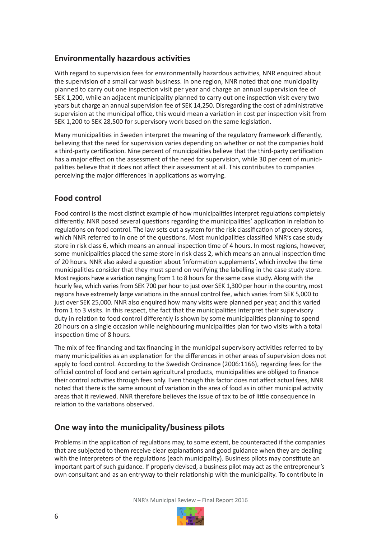## **Environmentally hazardous activities**

With regard to supervision fees for environmentally hazardous activities, NNR enquired about the supervision of a small car wash business. In one region, NNR noted that one municipality planned to carry out one inspection visit per year and charge an annual supervision fee of SEK 1,200, while an adjacent municipality planned to carry out one inspection visit every two years but charge an annual supervision fee of SEK 14,250. Disregarding the cost of administrative supervision at the municipal office, this would mean a variation in cost per inspection visit from SEK 1,200 to SEK 28,500 for supervisory work based on the same legislation.

Many municipalities in Sweden interpret the meaning of the regulatory framework differently, believing that the need for supervision varies depending on whether or not the companies hold a third-party certification. Nine percent of municipalities believe that the third-party certification has a major effect on the assessment of the need for supervision, while 30 per cent of municipalities believe that it does not affect their assessment at all. This contributes to companies perceiving the major differences in applications as worrying.

### **Food control**

Food control is the most distinct example of how municipalities interpret regulations completely differently. NNR posed several questions regarding the municipalities' application in relation to regulations on food control. The law sets out a system for the risk classification of grocery stores, which NNR referred to in one of the questions. Most municipalities classified NNR's case study store in risk class 6, which means an annual inspection time of 4 hours. In most regions, however, some municipalities placed the same store in risk class 2, which means an annual inspection time of 20 hours. NNR also asked a question about 'information supplements', which involve the time municipalities consider that they must spend on verifying the labelling in the case study store. Most regions have a variation ranging from 1 to 8 hours for the same case study. Along with the hourly fee, which varies from SEK 700 per hour to just over SEK 1,300 per hour in the country, most regions have extremely large variations in the annual control fee, which varies from SEK 5,000 to just over SEK 25,000. NNR also enquired how many visits were planned per year, and this varied from 1 to 3 visits. In this respect, the fact that the municipalities interpret their supervisory duty in relation to food control differently is shown by some municipalities planning to spend 20 hours on a single occasion while neighbouring municipalities plan for two visits with a total inspection time of 8 hours.

The mix of fee financing and tax financing in the municipal supervisory activities referred to by many municipalities as an explanation for the differences in other areas of supervision does not apply to food control. According to the Swedish Ordinance (2006:1166), regarding fees for the official control of food and certain agricultural products, municipalities are obliged to finance their control activities through fees only. Even though this factor does not affect actual fees, NNR noted that there is the same amount of variation in the area of food as in other municipal activity areas that it reviewed. NNR therefore believes the issue of tax to be of little consequence in relation to the variations observed.

### **One way into the municipality/business pilots**

Problems in the application of regulations may, to some extent, be counteracted if the companies that are subjected to them receive clear explanations and good guidance when they are dealing with the interpreters of the regulations (each municipality). Business pilots may constitute an important part of such guidance. If properly devised, a business pilot may act as the entrepreneur's own consultant and as an entryway to their relationship with the municipality. To contribute in

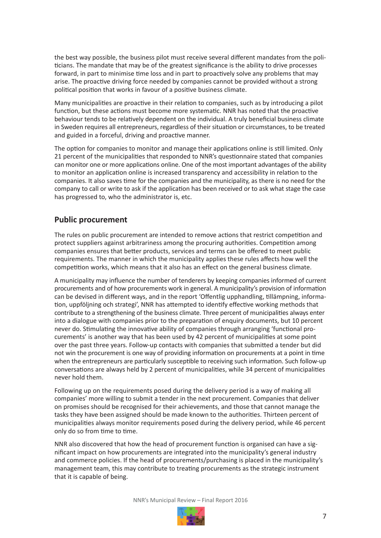the best way possible, the business pilot must receive several different mandates from the politicians. The mandate that may be of the greatest significance is the ability to drive processes forward, in part to minimise time loss and in part to proactively solve any problems that may arise. The proactive driving force needed by companies cannot be provided without a strong political position that works in favour of a positive business climate.

Many municipalities are proactive in their relation to companies, such as by introducing a pilot function, but these actions must become more systematic. NNR has noted that the proactive behaviour tends to be relatively dependent on the individual. A truly beneficial business climate in Sweden requires all entrepreneurs, regardless of their situation or circumstances, to be treated and guided in a forceful, driving and proactive manner.

The option for companies to monitor and manage their applications online is still limited. Only 21 percent of the municipalities that responded to NNR's questionnaire stated that companies can monitor one or more applications online. One of the most important advantages of the ability to monitor an application online is increased transparency and accessibility in relation to the companies. It also saves time for the companies and the municipality, as there is no need for the company to call or write to ask if the application has been received or to ask what stage the case has progressed to, who the administrator is, etc.

### **Public procurement**

The rules on public procurement are intended to remove actions that restrict competition and protect suppliers against arbitrariness among the procuring authorities. Competition among companies ensures that better products, services and terms can be offered to meet public requirements. The manner in which the municipality applies these rules affects how well the competition works, which means that it also has an effect on the general business climate.

A municipality may influence the number of tenderers by keeping companies informed of current procurements and of how procurements work in general. A municipality's provision of information can be devised in different ways, and in the report 'Offentlig upphandling, tillämpning, information, uppföljning och strategi', NNR has attempted to identify effective working methods that contribute to a strengthening of the business climate. Three percent of municipalities always enter into a dialogue with companies prior to the preparation of enquiry documents, but 10 percent never do. Stimulating the innovative ability of companies through arranging 'functional procurements' is another way that has been used by 42 percent of municipalities at some point over the past three years. Follow-up contacts with companies that submitted a tender but did not win the procurement is one way of providing information on procurements at a point in time when the entrepreneurs are particularly susceptible to receiving such information. Such follow-up conversations are always held by 2 percent of municipalities, while 34 percent of municipalities never hold them.

Following up on the requirements posed during the delivery period is a way of making all companies' more willing to submit a tender in the next procurement. Companies that deliver on promises should be recognised for their achievements, and those that cannot manage the tasks they have been assigned should be made known to the authorities. Thirteen percent of municipalities always monitor requirements posed during the delivery period, while 46 percent only do so from time to time.

NNR also discovered that how the head of procurement function is organised can have a significant impact on how procurements are integrated into the municipality's general industry and commerce policies. If the head of procurements/purchasing is placed in the municipality's management team, this may contribute to treating procurements as the strategic instrument that it is capable of being.

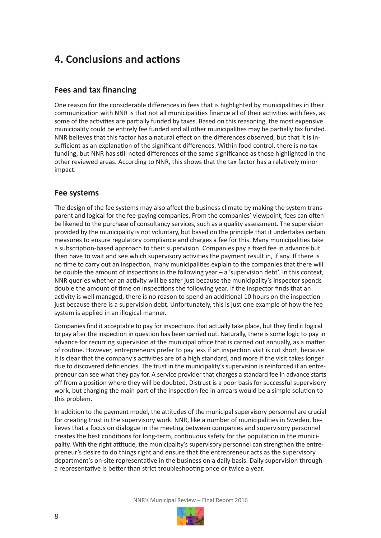# **4. Conclusions and actions**

### **Fees and tax financing**

One reason for the considerable differences in fees that is highlighted by municipalities in their communication with NNR is that not all municipalities finance all of their activities with fees, as some of the activities are partially funded by taxes. Based on this reasoning, the most expensive municipality could be entirely fee funded and all other municipalities may be partially tax funded. NNR believes that this factor has a natural effect on the differences observed, but that it is insufficient as an explanation of the significant differences. Within food control, there is no tax funding, but NNR has still noted differences of the same significance as those highlighted in the other reviewed areas. According to NNR, this shows that the tax factor has a relatively minor impact.

### **Fee systems**

The design of the fee systems may also affect the business climate by making the system transparent and logical for the fee-paying companies. From the companies' viewpoint, fees can often be likened to the purchase of consultancy services, such as a quality assessment. The supervision provided by the municipality is not voluntary, but based on the principle that it undertakes certain measures to ensure regulatory compliance and charges a fee for this. Many municipalities take a subscription-based approach to their supervision. Companies pay a fixed fee in advance but then have to wait and see which supervisory activities the payment result in, if any. If there is no time to carry out an inspection, many municipalities explain to the companies that there will be double the amount of inspections in the following year – a 'supervision debt'. In this context, NNR queries whether an activity will be safer just because the municipality's inspector spends double the amount of time on inspections the following year. If the inspector finds that an activity is well managed, there is no reason to spend an additional 10 hours on the inspection just because there is a supervision debt. Unfortunately, this is just one example of how the fee system is applied in an illogical manner.

Companies find it acceptable to pay for inspections that actually take place, but they find it logical to pay after the inspection in question has been carried out. Naturally, there is some logic to pay in advance for recurring supervision at the municipal office that is carried out annually, as a matter of routine. However, entrepreneurs prefer to pay less if an inspection visit is cut short, because it is clear that the company's activities are of a high standard, and more if the visit takes longer due to discovered deficiencies. The trust in the municipality's supervision is reinforced if an entrepreneur can see what they pay for. A service provider that charges a standard fee in advance starts off from a position where they will be doubted. Distrust is a poor basis for successful supervisory work, but charging the main part of the inspection fee in arrears would be a simple solution to this problem.

In addition to the payment model, the attitudes of the municipal supervisory personnel are crucial for creating trust in the supervisory work. NNR, like a number of municipalities in Sweden, believes that a focus on dialogue in the meeting between companies and supervisory personnel creates the best conditions for long-term, continuous safety for the population in the municipality. With the right attitude, the municipality's supervisory personnel can strengthen the entrepreneur's desire to do things right and ensure that the entrepreneur acts as the supervisory department's on-site representative in the business on a daily basis. Daily supervision through a representative is better than strict troubleshooting once or twice a year.

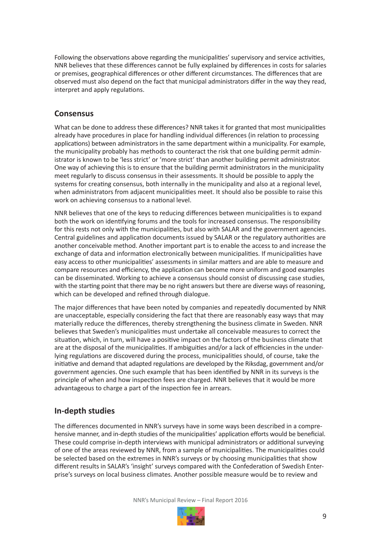Following the observations above regarding the municipalities' supervisory and service activities, NNR believes that these differences cannot be fully explained by differences in costs for salaries or premises, geographical differences or other different circumstances. The differences that are observed must also depend on the fact that municipal administrators differ in the way they read, interpret and apply regulations.

### **Consensus**

What can be done to address these differences? NNR takes it for granted that most municipalities already have procedures in place for handling individual differences (in relation to processing applications) between administrators in the same department within a municipality. For example, the municipality probably has methods to counteract the risk that one building permit administrator is known to be 'less strict' or 'more strict' than another building permit administrator. One way of achieving this is to ensure that the building permit administrators in the municipality meet regularly to discuss consensus in their assessments. It should be possible to apply the systems for creating consensus, both internally in the municipality and also at a regional level, when administrators from adjacent municipalities meet. It should also be possible to raise this work on achieving consensus to a national level.

NNR believes that one of the keys to reducing differences between municipalities is to expand both the work on identifying forums and the tools for increased consensus. The responsibility for this rests not only with the municipalities, but also with SALAR and the government agencies. Central guidelines and application documents issued by SALAR or the regulatory authorities are another conceivable method. Another important part is to enable the access to and increase the exchange of data and information electronically between municipalities. If municipalities have easy access to other municipalities' assessments in similar matters and are able to measure and compare resources and efficiency, the application can become more uniform and good examples can be disseminated. Working to achieve a consensus should consist of discussing case studies, with the starting point that there may be no right answers but there are diverse ways of reasoning, which can be developed and refined through dialogue.

The major differences that have been noted by companies and repeatedly documented by NNR are unacceptable, especially considering the fact that there are reasonably easy ways that may materially reduce the differences, thereby strengthening the business climate in Sweden. NNR believes that Sweden's municipalities must undertake all conceivable measures to correct the situation, which, in turn, will have a positive impact on the factors of the business climate that are at the disposal of the municipalities. If ambiguities and/or a lack of efficiencies in the underlying regulations are discovered during the process, municipalities should, of course, take the initiative and demand that adapted regulations are developed by the Riksdag, government and/or government agencies. One such example that has been identified by NNR in its surveys is the principle of when and how inspection fees are charged. NNR believes that it would be more advantageous to charge a part of the inspection fee in arrears.

### **In-depth studies**

The differences documented in NNR's surveys have in some ways been described in a comprehensive manner, and in-depth studies of the municipalities' application efforts would be beneficial. These could comprise in-depth interviews with municipal administrators or additional surveying of one of the areas reviewed by NNR, from a sample of municipalities. The municipalities could be selected based on the extremes in NNR's surveys or by choosing municipalities that show different results in SALAR's 'insight' surveys compared with the Confederation of Swedish Enterprise's surveys on local business climates. Another possible measure would be to review and

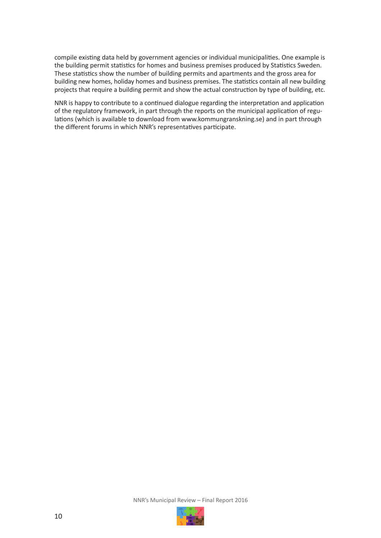compile existing data held by government agencies or individual municipalities. One example is the building permit statistics for homes and business premises produced by Statistics Sweden. These statistics show the number of building permits and apartments and the gross area for building new homes, holiday homes and business premises. The statistics contain all new building projects that require a building permit and show the actual construction by type of building, etc.

NNR is happy to contribute to a continued dialogue regarding the interpretation and application of the regulatory framework, in part through the reports on the municipal application of regulations (which is available to download from www.kommungranskning.se) and in part through the different forums in which NNR's representatives participate.

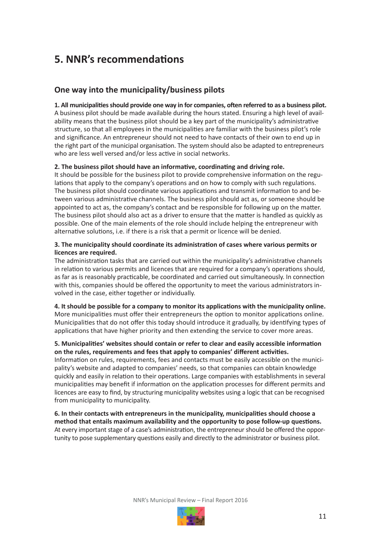# **5. NNR's recommendations**

### **One way into the municipality/business pilots**

**1. All municipalities should provide one way in for companies, often referred to as a business pilot.** A business pilot should be made available during the hours stated. Ensuring a high level of availability means that the business pilot should be a key part of the municipality's administrative structure, so that all employees in the municipalities are familiar with the business pilot's role and significance. An entrepreneur should not need to have contacts of their own to end up in the right part of the municipal organisation. The system should also be adapted to entrepreneurs who are less well versed and/or less active in social networks.

#### **2. The business pilot should have an informative, coordinating and driving role.**

It should be possible for the business pilot to provide comprehensive information on the regulations that apply to the company's operations and on how to comply with such regulations. The business pilot should coordinate various applications and transmit information to and between various administrative channels. The business pilot should act as, or someone should be appointed to act as, the company's contact and be responsible for following up on the matter. The business pilot should also act as a driver to ensure that the matter is handled as quickly as possible. One of the main elements of the role should include helping the entrepreneur with alternative solutions, i.e. if there is a risk that a permit or licence will be denied.

#### **3. The municipality should coordinate its administration of cases where various permits or licences are required.**

The administration tasks that are carried out within the municipality's administrative channels in relation to various permits and licences that are required for a company's operations should, as far as is reasonably practicable, be coordinated and carried out simultaneously. In connection with this, companies should be offered the opportunity to meet the various administrators involved in the case, either together or individually.

**4. It should be possible for a company to monitor its applications with the municipality online.** More municipalities must offer their entrepreneurs the option to monitor applications online. Municipalities that do not offer this today should introduce it gradually, by identifying types of applications that have higher priority and then extending the service to cover more areas.

#### **5. Municipalities' websites should contain or refer to clear and easily accessible information on the rules, requirements and fees that apply to companies' different activities.**

Information on rules, requirements, fees and contacts must be easily accessible on the municipality's website and adapted to companies' needs, so that companies can obtain knowledge quickly and easily in relation to their operations. Large companies with establishments in several municipalities may benefit if information on the application processes for different permits and licences are easy to find, by structuring municipality websites using a logic that can be recognised from municipality to municipality.

**6. In their contacts with entrepreneurs in the municipality, municipalities should choose a method that entails maximum availability and the opportunity to pose follow-up questions.** At every important stage of a case's administration, the entrepreneur should be offered the opportunity to pose supplementary questions easily and directly to the administrator or business pilot.

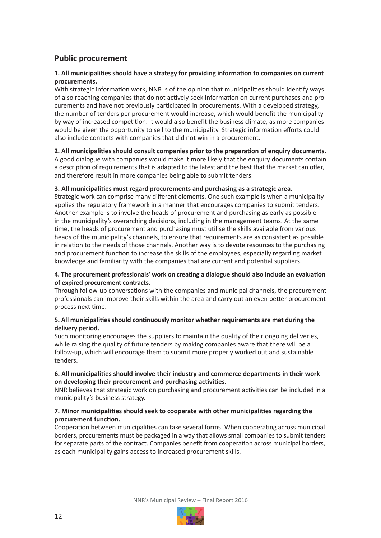# **Public procurement**

#### **1. All municipalities should have a strategy for providing information to companies on current procurements.**

With strategic information work, NNR is of the opinion that municipalities should identify ways of also reaching companies that do not actively seek information on current purchases and procurements and have not previously participated in procurements. With a developed strategy, the number of tenders per procurement would increase, which would benefit the municipality by way of increased competition. It would also benefit the business climate, as more companies would be given the opportunity to sell to the municipality. Strategic information efforts could also include contacts with companies that did not win in a procurement.

#### **2. All municipalities should consult companies prior to the preparation of enquiry documents.**

A good dialogue with companies would make it more likely that the enquiry documents contain a description of requirements that is adapted to the latest and the best that the market can offer, and therefore result in more companies being able to submit tenders.

#### **3. All municipalities must regard procurements and purchasing as a strategic area.**

Strategic work can comprise many different elements. One such example is when a municipality applies the regulatory framework in a manner that encourages companies to submit tenders. Another example is to involve the heads of procurement and purchasing as early as possible in the municipality's overarching decisions, including in the management teams. At the same time, the heads of procurement and purchasing must utilise the skills available from various heads of the municipality's channels, to ensure that requirements are as consistent as possible in relation to the needs of those channels. Another way is to devote resources to the purchasing and procurement function to increase the skills of the employees, especially regarding market knowledge and familiarity with the companies that are current and potential suppliers.

#### **4. The procurement professionals' work on creating a dialogue should also include an evaluation of expired procurement contracts.**

Through follow-up conversations with the companies and municipal channels, the procurement professionals can improve their skills within the area and carry out an even better procurement process next time.

#### **5. All municipalities should continuously monitor whether requirements are met during the delivery period.**

Such monitoring encourages the suppliers to maintain the quality of their ongoing deliveries, while raising the quality of future tenders by making companies aware that there will be a follow-up, which will encourage them to submit more properly worked out and sustainable tenders.

#### **6. All municipalities should involve their industry and commerce departments in their work on developing their procurement and purchasing activities.**

NNR believes that strategic work on purchasing and procurement activities can be included in a municipality's business strategy.

#### **7. Minor municipalities should seek to cooperate with other municipalities regarding the procurement function.**

Cooperation between municipalities can take several forms. When cooperating across municipal borders, procurements must be packaged in a way that allows small companies to submit tenders for separate parts of the contract. Companies benefit from cooperation across municipal borders, as each municipality gains access to increased procurement skills.

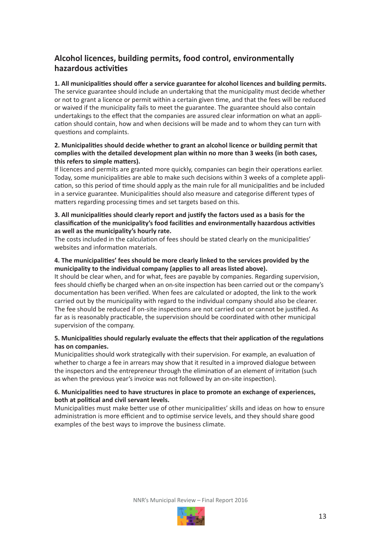# **Alcohol licences, building permits, food control, environmentally hazardous activities**

**1. All municipalities should offer a service guarantee for alcohol licences and building permits.** The service guarantee should include an undertaking that the municipality must decide whether or not to grant a licence or permit within a certain given time, and that the fees will be reduced or waived if the municipality fails to meet the guarantee. The guarantee should also contain undertakings to the effect that the companies are assured clear information on what an application should contain, how and when decisions will be made and to whom they can turn with questions and complaints.

#### **2. Municipalities should decide whether to grant an alcohol licence or building permit that complies with the detailed development plan within no more than 3 weeks (in both cases, this refers to simple matters).**

If licences and permits are granted more quickly, companies can begin their operations earlier. Today, some municipalities are able to make such decisions within 3 weeks of a complete application, so this period of time should apply as the main rule for all municipalities and be included in a service guarantee. Municipalities should also measure and categorise different types of matters regarding processing times and set targets based on this.

#### **3. All municipalities should clearly report and justify the factors used as a basis for the classification of the municipality's food facilities and environmentally hazardous activities as well as the municipality's hourly rate.**

The costs included in the calculation of fees should be stated clearly on the municipalities' websites and information materials.

#### **4. The municipalities' fees should be more clearly linked to the services provided by the municipality to the individual company (applies to all areas listed above).**

It should be clear when, and for what, fees are payable by companies. Regarding supervision, fees should chiefly be charged when an on-site inspection has been carried out or the company's documentation has been verified. When fees are calculated or adopted, the link to the work carried out by the municipality with regard to the individual company should also be clearer. The fee should be reduced if on-site inspections are not carried out or cannot be justified. As far as is reasonably practicable, the supervision should be coordinated with other municipal supervision of the company.

#### **5. Municipalities should regularly evaluate the effects that their application of the regulations has on companies.**

Municipalities should work strategically with their supervision. For example, an evaluation of whether to charge a fee in arrears may show that it resulted in a improved dialogue between the inspectors and the entrepreneur through the elimination of an element of irritation (such as when the previous year's invoice was not followed by an on-site inspection).

#### **6. Municipalities need to have structures in place to promote an exchange of experiences, both at political and civil servant levels.**

Municipalities must make better use of other municipalities' skills and ideas on how to ensure administration is more efficient and to optimise service levels, and they should share good examples of the best ways to improve the business climate.

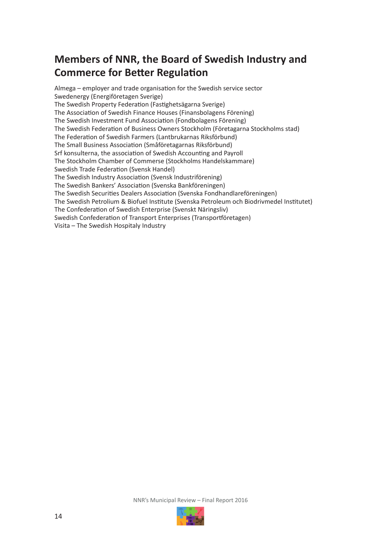# **Members of NNR, the Board of Swedish Industry and Commerce for Better Regulation**

Almega – employer and trade organisation for the Swedish service sector Swedenergy (Energiföretagen Sverige) The Swedish Property Federation (Fastighetsägarna Sverige) The Association of Swedish Finance Houses (Finansbolagens Förening) The Swedish Investment Fund Association (Fondbolagens Förening) The Swedish Federation of Business Owners Stockholm (Företagarna Stockholms stad) The Federation of Swedish Farmers (Lantbrukarnas Riksförbund) The Small Business Association (Småföretagarnas Riksförbund) Srf konsulterna, the association of Swedish Accounting and Payroll The Stockholm Chamber of Commerse (Stockholms Handelskammare) Swedish Trade Federation (Svensk Handel) The Swedish Industry Association (Svensk Industriförening) The Swedish Bankers' Association (Svenska Bankföreningen) The Swedish Securities Dealers Association (Svenska Fondhandlareföreningen) The Swedish Petrolium & Biofuel Institute (Svenska Petroleum och Biodrivmedel Institutet) The Confederation of Swedish Enterprise (Svenskt Näringsliv) Swedish Confederation of Transport Enterprises (Transportföretagen) Visita – The Swedish Hospitaly Industry